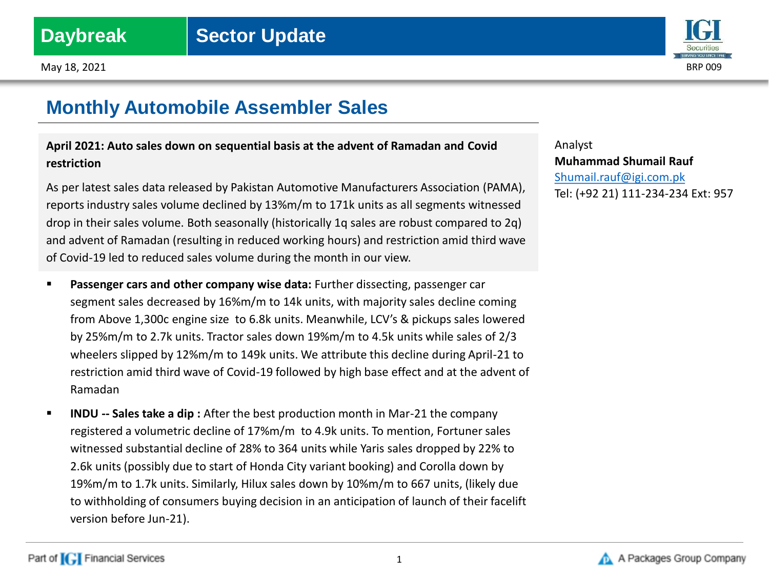Part of **[C]** Financial Services

May  $18$ , 2021 BRP 009

## **Monthly Automobile Assembler Sales**

## **April 2021: Auto sales down on sequential basis at the advent of Ramadan and Covid restriction**

As per latest sales data released by Pakistan Automotive Manufacturers Association (PAMA), reports industry sales volume declined by 13%m/m to 171k units as all segments witnessed drop in their sales volume. Both seasonally (historically 1q sales are robust compared to 2q) and advent of Ramadan (resulting in reduced working hours) and restriction amid third wave of Covid-19 led to reduced sales volume during the month in our view.

- **Passenger cars and other company wise data:** Further dissecting, passenger car segment sales decreased by 16%m/m to 14k units, with majority sales decline coming from Above 1,300c engine size to 6.8k units. Meanwhile, LCV's & pickups sales lowered by 25%m/m to 2.7k units. Tractor sales down 19%m/m to 4.5k units while sales of 2/3 wheelers slipped by 12%m/m to 149k units. We attribute this decline during April-21 to restriction amid third wave of Covid-19 followed by high base effect and at the advent of Ramadan
- **INDU -- Sales take a dip:** After the best production month in Mar-21 the company registered a volumetric decline of 17%m/m to 4.9k units. To mention, Fortuner sales witnessed substantial decline of 28% to 364 units while Yaris sales dropped by 22% to 2.6k units (possibly due to start of Honda City variant booking) and Corolla down by 19%m/m to 1.7k units. Similarly, Hilux sales down by 10%m/m to 667 units, (likely due to withholding of consumers buying decision in an anticipation of launch of their facelift version before Jun-21).

Analyst **Muhammad Shumail Rauf** [Shumail.rauf@igi.com.pk](mailto:Shumail.rauf@igi.com.pk) Tel: (+92 21) 111-234-234 Ext: 957



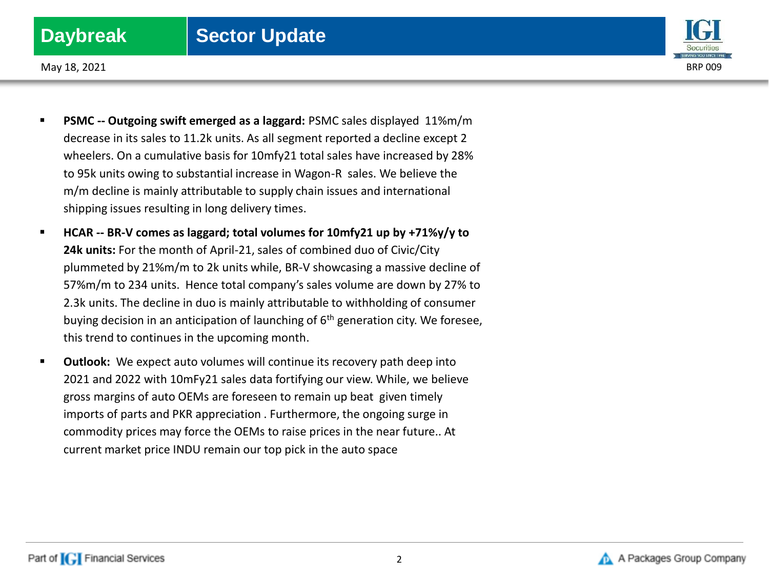## **Daybreak** | Sector Update



May  $18$ , 2021 BRP 009

- **PSMC -- Outgoing swift emerged as a laggard:** PSMC sales displayed 11%m/m decrease in its sales to 11.2k units. As all segment reported a decline except 2 wheelers. On a cumulative basis for 10mfy21 total sales have increased by 28% to 95k units owing to substantial increase in Wagon-R sales. We believe the m/m decline is mainly attributable to supply chain issues and international shipping issues resulting in long delivery times.
- **HCAR -- BR-V comes as laggard; total volumes for 10mfy21 up by +71%y/y to 24k units:** For the month of April-21, sales of combined duo of Civic/City plummeted by 21%m/m to 2k units while, BR-V showcasing a massive decline of 57%m/m to 234 units. Hence total company's sales volume are down by 27% to 2.3k units. The decline in duo is mainly attributable to withholding of consumer buying decision in an anticipation of launching of  $6<sup>th</sup>$  generation city. We foresee, this trend to continues in the upcoming month.
- **Outlook:** We expect auto volumes will continue its recovery path deep into 2021 and 2022 with 10mFy21 sales data fortifying our view. While, we believe gross margins of auto OEMs are foreseen to remain up beat given timely imports of parts and PKR appreciation . Furthermore, the ongoing surge in commodity prices may force the OEMs to raise prices in the near future.. At current market price INDU remain our top pick in the auto space

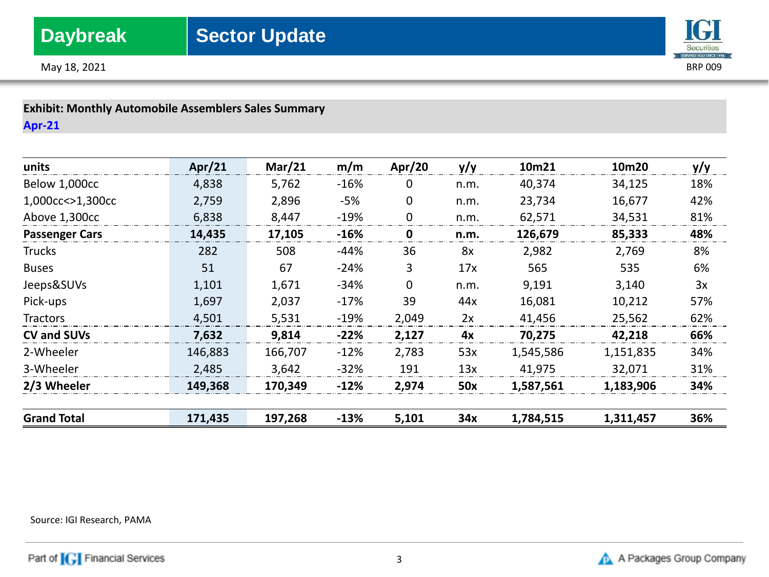



**Exhibit: Monthly Automobile Assemblers Sales Summary Apr-21**

| units                 | Apr $/21$ | Mar/21  | m/m    | Apr/20      | y/y  | 10m21     | 10m20     | y/y |
|-----------------------|-----------|---------|--------|-------------|------|-----------|-----------|-----|
| Below 1,000cc         | 4,838     | 5,762   | $-16%$ | 0           | n.m. | 40,374    | 34,125    | 18% |
| 1,000cc<>1,300cc      | 2,759     | 2,896   | -5%    | 0           | n.m. | 23,734    | 16,677    | 42% |
| Above 1,300cc         | 6,838     | 8,447   | $-19%$ | $\mathbf 0$ | n.m. | 62,571    | 34,531    | 81% |
| <b>Passenger Cars</b> | 14,435    | 17,105  | $-16%$ | 0           | n.m. | 126,679   | 85,333    | 48% |
| Trucks                | 282       | 508     | $-44%$ | 36          | 8x   | 2,982     | 2,769     | 8%  |
| <b>Buses</b>          | 51        | 67      | $-24%$ | 3           | 17x  | 565       | 535       | 6%  |
| Jeeps&SUVs            | 1,101     | 1,671   | $-34%$ | $\mathbf 0$ | n.m. | 9,191     | 3,140     | 3x  |
| Pick-ups              | 1,697     | 2,037   | $-17%$ | 39          | 44x  | 16,081    | 10,212    | 57% |
| Tractors              | 4,501     | 5,531   | $-19%$ | 2,049       | 2x   | 41,456    | 25,562    | 62% |
| <b>CV and SUVs</b>    | 7,632     | 9,814   | $-22%$ | 2,127       | 4x   | 70,275    | 42,218    | 66% |
| 2-Wheeler             | 146,883   | 166,707 | $-12%$ | 2,783       | 53x  | 1,545,586 | 1,151,835 | 34% |
| 3-Wheeler             | 2,485     | 3,642   | $-32%$ | 191         | 13x  | 41,975    | 32,071    | 31% |
| 2/3 Wheeler           | 149,368   | 170,349 | $-12%$ | 2,974       | 50x  | 1,587,561 | 1,183,906 | 34% |
|                       |           |         |        |             |      |           |           |     |
| <b>Grand Total</b>    | 171,435   | 197,268 | $-13%$ | 5,101       | 34x  | 1,784,515 | 1,311,457 | 36% |

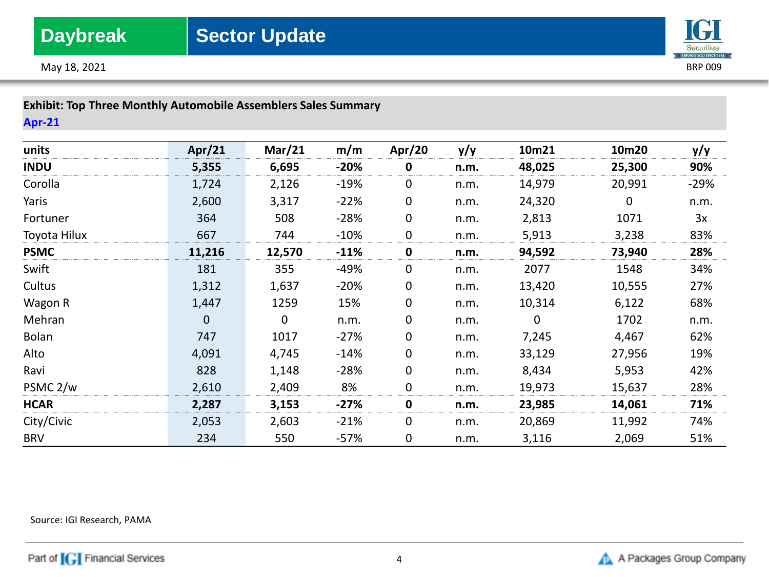



## **Exhibit: Top Three Monthly Automobile Assemblers Sales Summary**

**Apr-21**

| units               | Apr/21 | Mar/21 | m/m    | Apr/20      | y/y  | 10m21       | 10m20  | y/y    |
|---------------------|--------|--------|--------|-------------|------|-------------|--------|--------|
| <b>INDU</b>         | 5,355  | 6,695  | $-20%$ | 0           | n.m. | 48,025      | 25,300 | 90%    |
| Corolla             | 1,724  | 2,126  | $-19%$ | $\Omega$    | n.m. | 14,979      | 20,991 | $-29%$ |
| Yaris               | 2,600  | 3,317  | $-22%$ | $\mathbf 0$ | n.m. | 24,320      | 0      | n.m.   |
| Fortuner            | 364    | 508    | $-28%$ | $\mathbf 0$ | n.m. | 2,813       | 1071   | 3x     |
| Toyota Hilux        | 667    | 744    | $-10%$ | $\mathbf 0$ | n.m. | 5,913       | 3,238  | 83%    |
| <b>PSMC</b>         | 11,216 | 12,570 | $-11%$ | 0           | n.m. | 94,592      | 73,940 | 28%    |
| Swift               | 181    | 355    | $-49%$ | 0           | n.m. | 2077        | 1548   | 34%    |
| Cultus              | 1,312  | 1,637  | $-20%$ | 0           | n.m. | 13,420      | 10,555 | 27%    |
| Wagon R             | 1,447  | 1259   | 15%    | 0           | n.m. | 10,314      | 6,122  | 68%    |
| Mehran              | 0      | 0      | n.m.   | 0           | n.m. | $\mathbf 0$ | 1702   | n.m.   |
| Bolan               | 747    | 1017   | $-27%$ | 0           | n.m. | 7,245       | 4,467  | 62%    |
| Alto                | 4,091  | 4,745  | $-14%$ | 0           | n.m. | 33,129      | 27,956 | 19%    |
| Ravi                | 828    | 1,148  | $-28%$ | 0           | n.m. | 8,434       | 5,953  | 42%    |
| PSMC <sub>2/w</sub> | 2,610  | 2,409  | 8%     | $\Omega$    | n.m. | 19,973      | 15,637 | 28%    |
| <b>HCAR</b>         | 2,287  | 3,153  | $-27%$ | 0           | n.m. | 23,985      | 14,061 | 71%    |
| City/Civic          | 2,053  | 2,603  | $-21%$ | 0           | n.m. | 20,869      | 11,992 | 74%    |
| <b>BRV</b>          | 234    | 550    | $-57%$ | 0           | n.m. | 3,116       | 2,069  | 51%    |

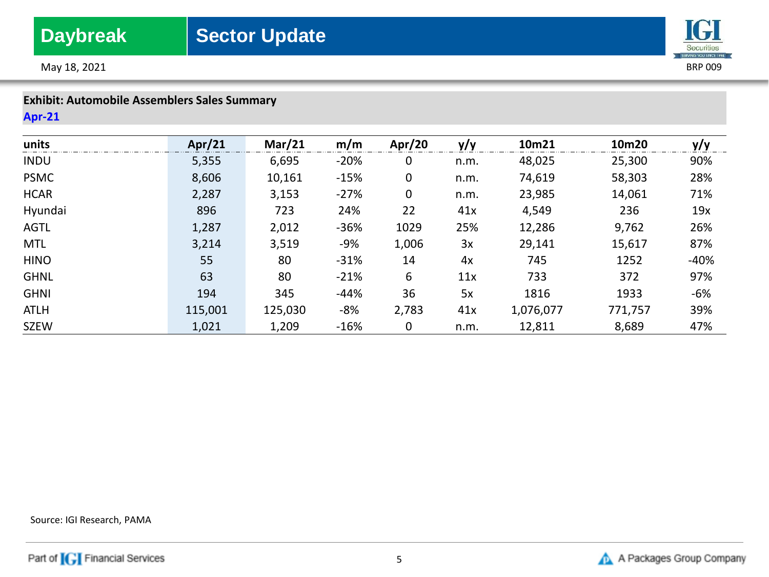

May  $18$ , 2021 BRP 009

## **Exhibit: Automobile Assemblers Sales Summary**

## **Apr-21**

| units       | Apr/21  | Mar/21  | m/m    | Apr/20      | y/y  | 10m21     | 10m20   | y/y   |
|-------------|---------|---------|--------|-------------|------|-----------|---------|-------|
| <b>INDU</b> | 5,355   | 6,695   | $-20%$ | 0           | n.m. | 48,025    | 25,300  | 90%   |
| <b>PSMC</b> | 8,606   | 10,161  | $-15%$ | $\mathbf 0$ | n.m. | 74,619    | 58,303  | 28%   |
| <b>HCAR</b> | 2,287   | 3,153   | $-27%$ | 0           | n.m. | 23,985    | 14,061  | 71%   |
| Hyundai     | 896     | 723     | 24%    | 22          | 41x  | 4,549     | 236     | 19x   |
| <b>AGTL</b> | 1,287   | 2,012   | $-36%$ | 1029        | 25%  | 12,286    | 9,762   | 26%   |
| <b>MTL</b>  | 3,214   | 3,519   | -9%    | 1,006       | 3x   | 29,141    | 15,617  | 87%   |
| <b>HINO</b> | 55      | 80      | $-31%$ | 14          | 4x   | 745       | 1252    | -40%  |
| <b>GHNL</b> | 63      | 80      | $-21%$ | 6           | 11x  | 733       | 372     | 97%   |
| <b>GHNI</b> | 194     | 345     | $-44%$ | 36          | 5x   | 1816      | 1933    | $-6%$ |
| <b>ATLH</b> | 115,001 | 125,030 | -8%    | 2,783       | 41x  | 1,076,077 | 771,757 | 39%   |
| <b>SZEW</b> | 1,021   | 1,209   | $-16%$ | 0           | n.m. | 12,811    | 8,689   | 47%   |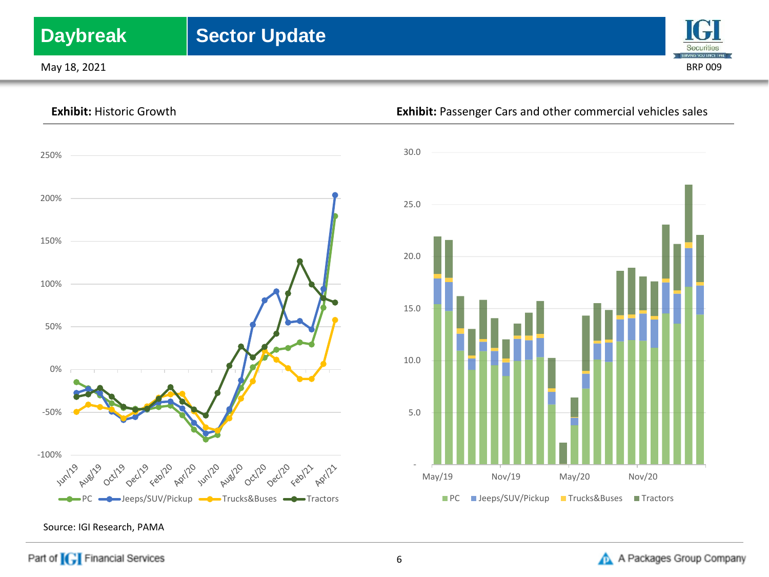# **Daybreak** | Sector Update

May  $18$ , 2021 BRP 009







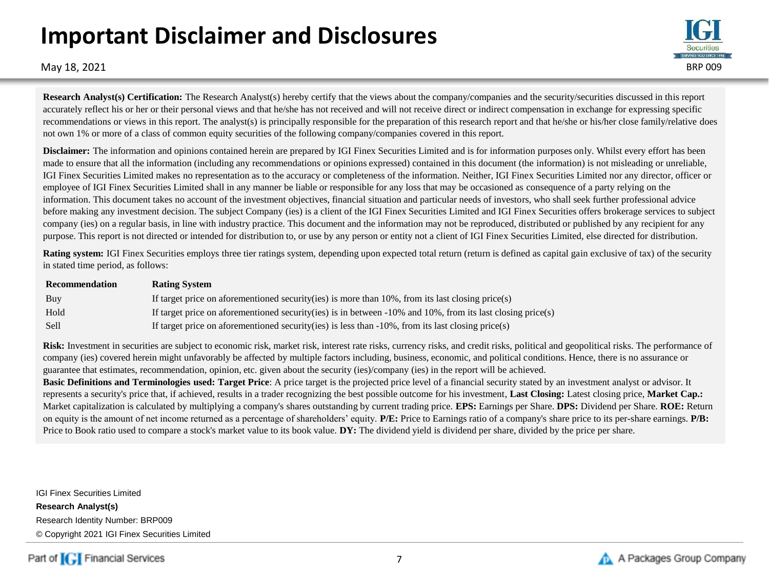# **Important Disclaimer and Disclosures**



May  $18$ , 2021 BRP 009

**Research Analyst(s) Certification:** The Research Analyst(s) hereby certify that the views about the company/companies and the security/securities discussed in this report accurately reflect his or her or their personal views and that he/she has not received and will not receive direct or indirect compensation in exchange for expressing specific recommendations or views in this report. The analyst(s) is principally responsible for the preparation of this research report and that he/she or his/her close family/relative does not own 1% or more of a class of common equity securities of the following company/companies covered in this report.

**Disclaimer:** The information and opinions contained herein are prepared by IGI Finex Securities Limited and is for information purposes only. Whilst every effort has been made to ensure that all the information (including any recommendations or opinions expressed) contained in this document (the information) is not misleading or unreliable, IGI Finex Securities Limited makes no representation as to the accuracy or completeness of the information. Neither, IGI Finex Securities Limited nor any director, officer or employee of IGI Finex Securities Limited shall in any manner be liable or responsible for any loss that may be occasioned as consequence of a party relying on the information. This document takes no account of the investment objectives, financial situation and particular needs of investors, who shall seek further professional advice before making any investment decision. The subject Company (ies) is a client of the IGI Finex Securities Limited and IGI Finex Securities offers brokerage services to subject company (ies) on a regular basis, in line with industry practice. This document and the information may not be reproduced, distributed or published by any recipient for any purpose. This report is not directed or intended for distribution to, or use by any person or entity not a client of IGI Finex Securities Limited, else directed for distribution.

**Rating system:** IGI Finex Securities employs three tier ratings system, depending upon expected total return (return is defined as capital gain exclusive of tax) of the security in stated time period, as follows:

| Recommendation | <b>Rating System</b>                                                                                          |
|----------------|---------------------------------------------------------------------------------------------------------------|
| Buy            | If target price on aforementioned security (ies) is more than $10\%$ , from its last closing price (s)        |
| Hold           | If target price on aforementioned security(ies) is in between $-10\%$ and 10%, from its last closing price(s) |
| Sell           | If target price on aforementioned security(ies) is less than $-10\%$ , from its last closing price(s)         |

Risk: Investment in securities are subject to economic risk, market risk, interest rate risks, currency risks, and credit risks, political and geopolitical risks. The performance of company (ies) covered herein might unfavorably be affected by multiple factors including, business, economic, and political conditions. Hence, there is no assurance or guarantee that estimates, recommendation, opinion, etc. given about the security (ies)/company (ies) in the report will be achieved.

**Basic Definitions and Terminologies used: Target Price**: A price target is the projected price level of a financial security stated by an investment analyst or advisor. It represents a security's price that, if achieved, results in a trader recognizing the best possible outcome for his investment, **Last Closing:** Latest closing price, **Market Cap.:**  Market capitalization is calculated by multiplying a company's shares outstanding by current trading price. **EPS:** Earnings per Share. **DPS:** Dividend per Share. **ROE:** Return on equity is the amount of net income returned as a percentage of shareholders' equity. **P/E:** Price to Earnings ratio of a company's share price to its per-share earnings. **P/B:** Price to Book ratio used to compare a stock's market value to its book value. **DY:** The dividend yield is dividend per share, divided by the price per share.

IGI Finex Securities Limited **Research Analyst(s)** Research Identity Number: BRP009 © Copyright 2021 IGI Finex Securities Limited